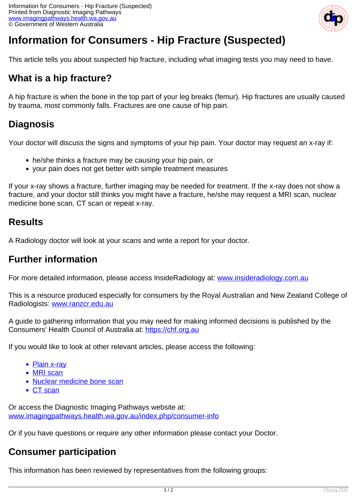

# **Information for Consumers - Hip Fracture (Suspected)**

This article tells you about suspected hip fracture, including what imaging tests you may need to have.

## **What is a hip fracture?**

A hip fracture is when the bone in the top part of your leg breaks (femur). Hip fractures are usually caused by trauma, most commonly falls. Fractures are one cause of hip pain.

# **Diagnosis**

Your doctor will discuss the signs and symptoms of your hip pain. Your doctor may request an x-ray if:

- he/she thinks a fracture may be causing your hip pain, or
- your pain does not get better with simple treatment measures

If your x-ray shows a fracture, further imaging may be needed for treatment. If the x-ray does not show a fracture, and your doctor still thinks you might have a fracture, he/she may request a MRI scan, nuclear medicine bone scan, CT scan or repeat x-ray.

#### **Results**

A Radiology doctor will look at your scans and write a report for your doctor.

### **Further information**

For more detailed information, please access InsideRadiology at: [www.insideradiology.com.au](http://www.insideradiology.com.au/)

This is a resource produced especially for consumers by the Royal Australian and New Zealand College of Radiologists: [www.ranzcr.edu.au](http://www.ranzcr.edu.au/)

A guide to gathering information that you may need for making informed decisions is published by the Consumers' Health Council of Australia at: <https://chf.org.au>

If you would like to look at other relevant articles, please access the following:

- [Plain x-ray](index.php/consumer-info/imaging-procedures/x-ray)
- [MRI scan](index.php/consumer-info/imaging-procedures/magnetic-resonance-imaging-mri)
- [Nuclear medicine bone scan](index.php/consumer-info/imaging-procedures/bone-scan)
- [CT scan](index.php/consumer-info/imaging-procedures/ct-scan)

Or access the Diagnostic Imaging Pathways website at: [www.imagingpathways.health.wa.gov.au/index.php/consumer-info](index.php/consumer-info)

Or if you have questions or require any other information please contact your Doctor.

### **Consumer participation**

This information has been reviewed by representatives from the following groups: